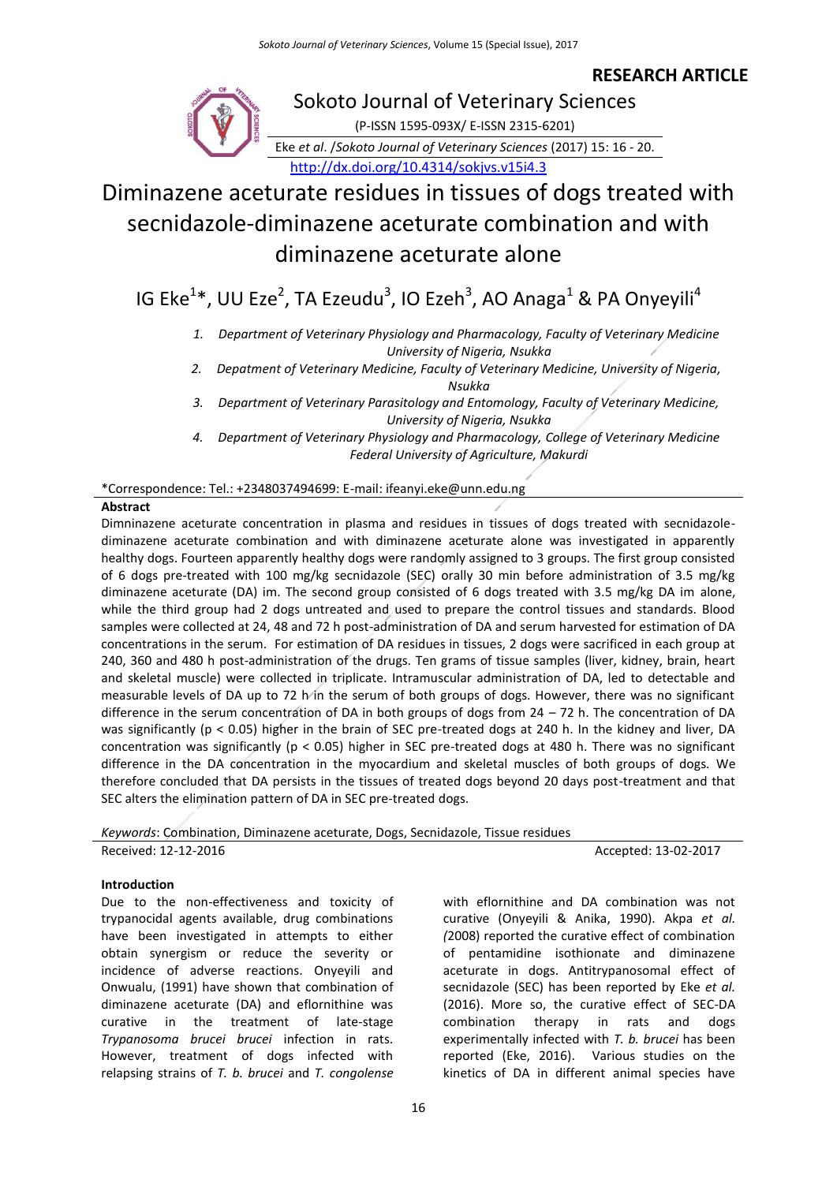### **RESEARCH ARTICLE**



## Sokoto Journal of Veterinary Sciences

(P-ISSN 1595-093X/ E-ISSN 2315-6201)

Eke *et al*. /*Sokoto Journal of Veterinary Sciences* (2017) 15: 16 - 20. <http://dx.doi.org/10.4314/sokjvs.v15i4.3>

# Diminazene aceturate residues in tissues of dogs treated with secnidazole-diminazene aceturate combination and with diminazene aceturate alone

### IG Eke<sup>1\*</sup>, UU Eze<sup>2</sup>, TA Ezeudu<sup>3</sup>, IO Ezeh<sup>3</sup>, AO Anaga<sup>1</sup> & PA Onyeyili<sup>4</sup>

*1. Department of Veterinary Physiology and Pharmacology, Faculty of Veterinary Medicine University of Nigeria, Nsukka*

*2. Depatment of Veterinary Medicine, Faculty of Veterinary Medicine, University of Nigeria,*

*Nsukka*

- *3. Department of Veterinary Parasitology and Entomology, Faculty of Veterinary Medicine, University of Nigeria, Nsukka*
- *4. Department of Veterinary Physiology and Pharmacology, College of Veterinary Medicine Federal University of Agriculture, Makurdi*

\*Correspondence: Tel.: +2348037494699: E-mail: ifeanyi.eke@unn.edu.ng

#### **Abstract**

Dimninazene aceturate concentration in plasma and residues in tissues of dogs treated with secnidazolediminazene aceturate combination and with diminazene aceturate alone was investigated in apparently healthy dogs. Fourteen apparently healthy dogs were randomly assigned to 3 groups. The first group consisted of 6 dogs pre-treated with 100 mg/kg secnidazole (SEC) orally 30 min before administration of 3.5 mg/kg diminazene aceturate (DA) im. The second group consisted of 6 dogs treated with 3.5 mg/kg DA im alone, while the third group had 2 dogs untreated and used to prepare the control tissues and standards. Blood samples were collected at 24, 48 and 72 h post-administration of DA and serum harvested for estimation of DA concentrations in the serum. For estimation of DA residues in tissues, 2 dogs were sacrificed in each group at 240, 360 and 480 h post-administration of the drugs. Ten grams of tissue samples (liver, kidney, brain, heart and skeletal muscle) were collected in triplicate. Intramuscular administration of DA, led to detectable and measurable levels of DA up to 72 h in the serum of both groups of dogs. However, there was no significant difference in the serum concentration of DA in both groups of dogs from 24 – 72 h. The concentration of DA was significantly (p < 0.05) higher in the brain of SEC pre-treated dogs at 240 h. In the kidney and liver, DA concentration was significantly (p < 0.05) higher in SEC pre-treated dogs at 480 h. There was no significant difference in the DA concentration in the myocardium and skeletal muscles of both groups of dogs. We therefore concluded that DA persists in the tissues of treated dogs beyond 20 days post-treatment and that SEC alters the elimination pattern of DA in SEC pre-treated dogs.

*Keywords*: Combination, Diminazene aceturate, Dogs, Secnidazole, Tissue residues Received: 12-12-2016 **Accepted: 13-02-2017** 

#### **Introduction**

Due to the non-effectiveness and toxicity of trypanocidal agents available, drug combinations have been investigated in attempts to either obtain synergism or reduce the severity or incidence of adverse reactions. Onyeyili and Onwualu, (1991) have shown that combination of diminazene aceturate (DA) and eflornithine was curative in the treatment of late-stage *Trypanosoma brucei brucei* infection in rats. However, treatment of dogs infected with relapsing strains of *T. b. brucei* and *T. congolense*

with eflornithine and DA combination was not curative (Onyeyili & Anika, 1990). Akpa *et al. (*2008) reported the curative effect of combination of pentamidine isothionate and diminazene aceturate in dogs. Antitrypanosomal effect of secnidazole (SEC) has been reported by Eke *et al.*  (2016). More so, the curative effect of SEC-DA combination therapy in rats and dogs experimentally infected with *T. b. brucei* has been reported (Eke, 2016). Various studies on the kinetics of DA in different animal species have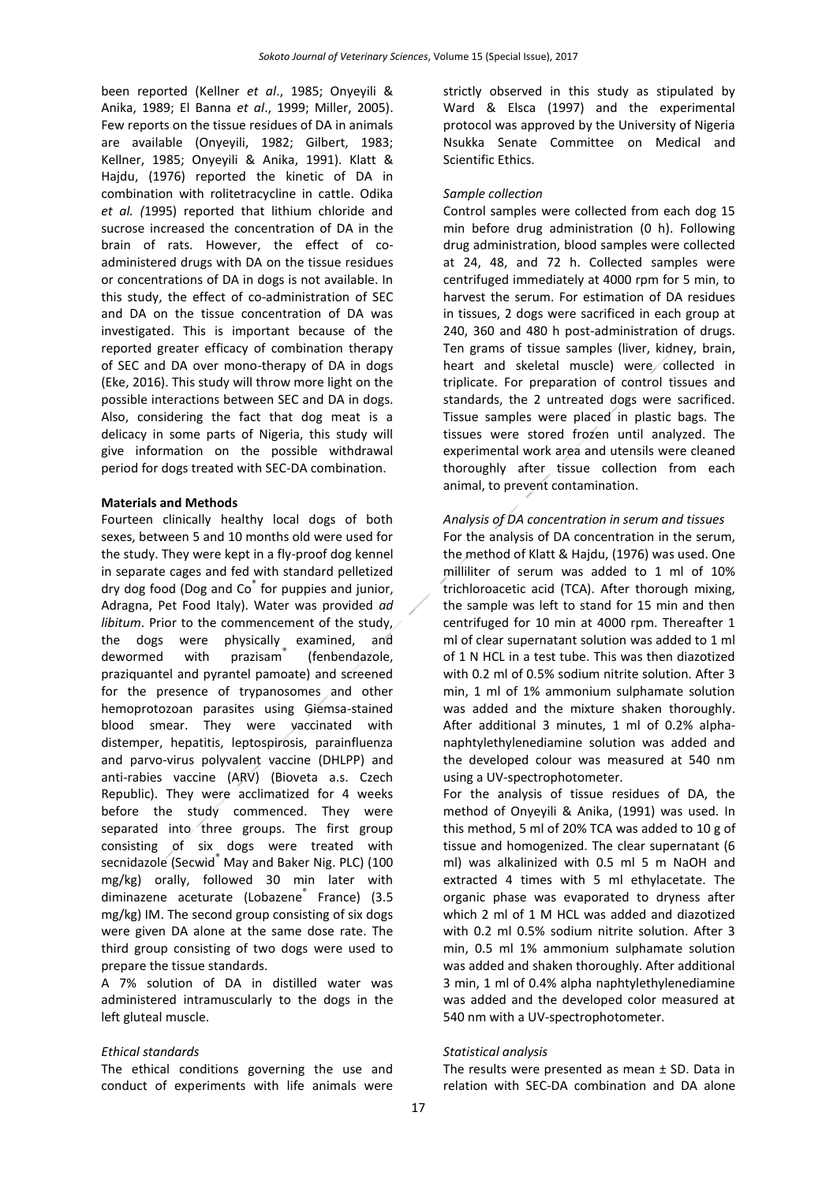been reported (Kellner *et al*., 1985; Onyeyili & Anika, 1989; El Banna *et al*., 1999; Miller, 2005). Few reports on the tissue residues of DA in animals are available (Onyeyili, 1982; Gilbert, 1983; Kellner, 1985; Onyeyili & Anika, 1991). Klatt & Hajdu, (1976) reported the kinetic of DA in combination with rolitetracycline in cattle. Odika *et al. (*1995) reported that lithium chloride and sucrose increased the concentration of DA in the brain of rats. However, the effect of coadministered drugs with DA on the tissue residues or concentrations of DA in dogs is not available. In this study, the effect of co-administration of SEC and DA on the tissue concentration of DA was investigated. This is important because of the reported greater efficacy of combination therapy of SEC and DA over mono-therapy of DA in dogs (Eke, 2016). This study will throw more light on the possible interactions between SEC and DA in dogs. Also, considering the fact that dog meat is a delicacy in some parts of Nigeria, this study will give information on the possible withdrawal period for dogs treated with SEC-DA combination.

#### **Materials and Methods**

Fourteen clinically healthy local dogs of both sexes, between 5 and 10 months old were used for the study. They were kept in a fly-proof dog kennel in separate cages and fed with standard pelletized dry dog food (Dog and Co<sup>®</sup> for puppies and junior, Adragna, Pet Food Italy). Water was provided *ad libitum*. Prior to the commencement of the study, the dogs were physically examined, and dewormed with prazisam® (fenbendazole, praziquantel and pyrantel pamoate) and screened for the presence of trypanosomes and other hemoprotozoan parasites using Giemsa-stained blood smear. They were vaccinated with distemper, hepatitis, leptospirosis, parainfluenza and parvo-virus polyvalent vaccine (DHLPP) and anti-rabies vaccine (ARV) (Bioveta a.s. Czech Republic). They were acclimatized for 4 weeks before the study commenced. They were separated into three groups. The first group consisting of six dogs were treated with secnidazole (Secwid<sup>®</sup> May and Baker Nig. PLC) (100 mg/kg) orally, followed 30 min later with diminazene aceturate (Lobazene® France) (3.5 mg/kg) IM. The second group consisting of six dogs were given DA alone at the same dose rate. The third group consisting of two dogs were used to prepare the tissue standards.

A 7% solution of DA in distilled water was administered intramuscularly to the dogs in the left gluteal muscle.

#### *Ethical standards*

The ethical conditions governing the use and conduct of experiments with life animals were strictly observed in this study as stipulated by Ward & Elsca (1997) and the experimental protocol was approved by the University of Nigeria Nsukka Senate Committee on Medical and Scientific Ethics.

#### *Sample collection*

Control samples were collected from each dog 15 min before drug administration (0 h). Following drug administration, blood samples were collected at 24, 48, and 72 h. Collected samples were centrifuged immediately at 4000 rpm for 5 min, to harvest the serum. For estimation of DA residues in tissues, 2 dogs were sacrificed in each group at 240, 360 and 480 h post-administration of drugs. Ten grams of tissue samples (liver, kidney, brain, heart and skeletal muscle) were collected in triplicate. For preparation of control tissues and standards, the 2 untreated dogs were sacrificed. Tissue samples were placed in plastic bags. The tissues were stored frozen until analyzed. The experimental work area and utensils were cleaned thoroughly after tissue collection from each animal, to prevent contamination.

#### *Analysis of DA concentration in serum and tissues*

For the analysis of DA concentration in the serum, the method of Klatt & Hajdu, (1976) was used. One milliliter of serum was added to 1 ml of 10% trichloroacetic acid (TCA). After thorough mixing, the sample was left to stand for 15 min and then centrifuged for 10 min at 4000 rpm. Thereafter 1 ml of clear supernatant solution was added to 1 ml of 1 N HCL in a test tube. This was then diazotized with 0.2 ml of 0.5% sodium nitrite solution. After 3 min, 1 ml of 1% ammonium sulphamate solution was added and the mixture shaken thoroughly. After additional 3 minutes, 1 ml of 0.2% alphanaphtylethylenediamine solution was added and the developed colour was measured at 540 nm using a UV-spectrophotometer.

For the analysis of tissue residues of DA, the method of Onyeyili & Anika, (1991) was used. In this method, 5 ml of 20% TCA was added to 10 g of tissue and homogenized. The clear supernatant (6 ml) was alkalinized with 0.5 ml 5 m NaOH and extracted 4 times with 5 ml ethylacetate. The organic phase was evaporated to dryness after which 2 ml of 1 M HCL was added and diazotized with 0.2 ml 0.5% sodium nitrite solution. After 3 min, 0.5 ml 1% ammonium sulphamate solution was added and shaken thoroughly. After additional 3 min, 1 ml of 0.4% alpha naphtylethylenediamine was added and the developed color measured at 540 nm with a UV-spectrophotometer.

#### *Statistical analysis*

The results were presented as mean  $\pm$  SD. Data in relation with SEC-DA combination and DA alone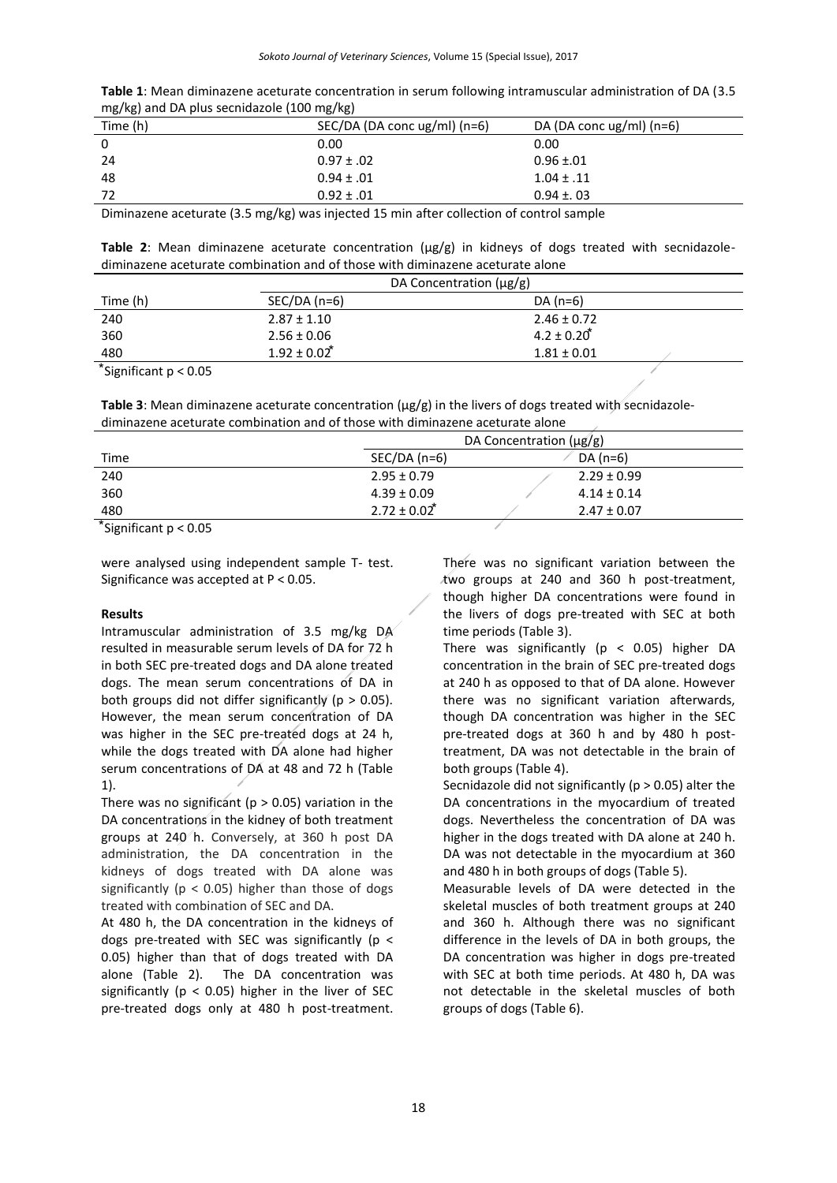| Table 1: Mean diminazene aceturate concentration in serum following intramuscular administration of DA (3.5 |
|-------------------------------------------------------------------------------------------------------------|
| mg/kg) and DA plus secnidazole (100 mg/kg)                                                                  |

| .        | <u>u, u, </u>                                                                                                      |                              |
|----------|--------------------------------------------------------------------------------------------------------------------|------------------------------|
| Time (h) | SEC/DA (DA conc ug/ml) (n=6)                                                                                       | DA (DA conc $\lg$ /ml) (n=6) |
| 0        | 0.00                                                                                                               | 0.00                         |
| -24      | $0.97 \pm .02$                                                                                                     | $0.96 \pm 0.01$              |
| -48      | $0.94 \pm .01$                                                                                                     | $1.04 \pm .11$               |
| 72       | $0.92 \pm .01$                                                                                                     | $0.94 \pm 0.03$              |
|          | والمتعوم المعاموم كمرمونا ومطاوم وملكم وبنعو 15 المطوعا وتروي ومساحاته المومر المتابع والمستلوم والمعتقد والمستوما |                              |

Diminazene aceturate (3.5 mg/kg) was injected 15 min after collection of control sample

**Table 2**: Mean diminazene aceturate concentration ( $\mu$ g/g) in kidneys of dogs treated with secnidazolediminazene aceturate combination and of those with diminazene aceturate alone

|                                    | DA Concentration $(\mu g/g)$ |                        |
|------------------------------------|------------------------------|------------------------|
| Time (h)                           | $SEC/DA(n=6)$                | DA $(n=6)$             |
| 240                                | $2.87 \pm 1.10$              | $2.46 \pm 0.72$        |
| 360                                | $2.56 \pm 0.06$              | $4.2 \pm 0.20^{\circ}$ |
| 480                                | $1.92 \pm 0.02^*$            | $1.81 \pm 0.01$        |
| $*$ $\sim$<br>$\sim$ $\sim$ $\sim$ |                              |                        |

⃰Significant p < 0.05

Table 3: Mean diminazene aceturate concentration ( $\mu$ g/g) in the livers of dogs treated with secnidazolediminazene aceturate combination and of those with diminazene aceturate alone

|                | DA Concentration $(\mu g/g)$ |                 |  |
|----------------|------------------------------|-----------------|--|
| Time           | $SEC/DA$ (n=6)               | DA (n=6)        |  |
| 240            | $2.95 \pm 0.79$              | $2.29 \pm 0.99$ |  |
| 360            | $4.39 \pm 0.09$              | $4.14 \pm 0.14$ |  |
| 480            | $2.72 \pm 0.02^*$            | $2.47 \pm 0.07$ |  |
| $\overline{a}$ |                              |                 |  |

⃰Significant p < 0.05

were analysed using independent sample T- test. Significance was accepted at P < 0.05.

#### **Results**

Intramuscular administration of 3.5 mg/kg DA resulted in measurable serum levels of DA for 72 h in both SEC pre-treated dogs and DA alone treated dogs. The mean serum concentrations of DA in both groups did not differ significantly ( $p > 0.05$ ). However, the mean serum concentration of DA was higher in the SEC pre-treated dogs at 24 h, while the dogs treated with DA alone had higher serum concentrations of DA at 48 and 72 h (Table 1).

There was no significant ( $p > 0.05$ ) variation in the DA concentrations in the kidney of both treatment groups at 240 h. Conversely, at 360 h post DA administration, the DA concentration in the kidneys of dogs treated with DA alone was significantly ( $p < 0.05$ ) higher than those of dogs treated with combination of SEC and DA.

At 480 h, the DA concentration in the kidneys of dogs pre-treated with SEC was significantly ( $p <$ 0.05) higher than that of dogs treated with DA alone (Table 2). The DA concentration was significantly ( $p < 0.05$ ) higher in the liver of SEC pre-treated dogs only at 480 h post-treatment.

There was no significant variation between the two groups at 240 and 360 h post-treatment, though higher DA concentrations were found in the livers of dogs pre-treated with SEC at both time periods (Table 3).

There was significantly ( $p < 0.05$ ) higher DA concentration in the brain of SEC pre-treated dogs at 240 h as opposed to that of DA alone. However there was no significant variation afterwards, though DA concentration was higher in the SEC pre-treated dogs at 360 h and by 480 h posttreatment, DA was not detectable in the brain of both groups (Table 4).

Secnidazole did not significantly ( $p > 0.05$ ) alter the DA concentrations in the myocardium of treated dogs. Nevertheless the concentration of DA was higher in the dogs treated with DA alone at 240 h. DA was not detectable in the myocardium at 360 and 480 h in both groups of dogs (Table 5).

Measurable levels of DA were detected in the skeletal muscles of both treatment groups at 240 and 360 h. Although there was no significant difference in the levels of DA in both groups, the DA concentration was higher in dogs pre-treated with SEC at both time periods. At 480 h, DA was not detectable in the skeletal muscles of both groups of dogs (Table 6).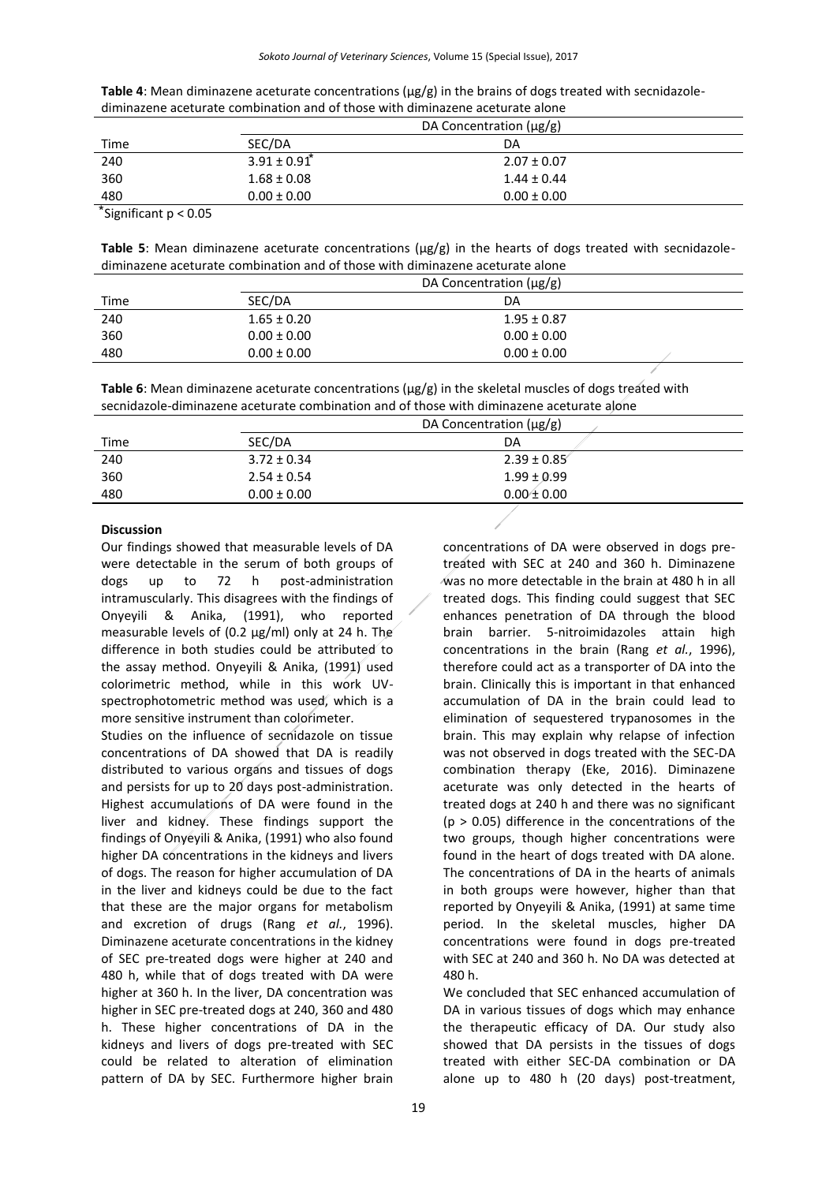| Table 4: Mean diminazene aceturate concentrations ( $\mu$ g/g) in the brains of dogs treated with secnidazole- |
|----------------------------------------------------------------------------------------------------------------|
| diminazene aceturate combination and of those with diminazene aceturate alone                                  |

|                              | DA Concentration $(\mu g/g)$ |  |
|------------------------------|------------------------------|--|
| SEC/DA                       | DA                           |  |
| $3.91 \pm 0.91$ <sup>*</sup> | $2.07 \pm 0.07$              |  |
| $1.68 \pm 0.08$              | $1.44 \pm 0.44$              |  |
| $0.00 \pm 0.00$              | $0.00 \pm 0.00$              |  |
|                              |                              |  |

⃰Significant p < 0.05

**Table 5**: Mean diminazene aceturate concentrations ( $\mu$ g/g) in the hearts of dogs treated with secnidazolediminazene aceturate combination and of those with diminazene aceturate alone

|      | DA Concentration $(\mu g/g)$ |                 |  |
|------|------------------------------|-----------------|--|
| Time | SEC/DA                       | DA              |  |
| 240  | $1.65 \pm 0.20$              | $1.95 \pm 0.87$ |  |
| 360  | $0.00 \pm 0.00$              | $0.00 \pm 0.00$ |  |
| 480  | $0.00 \pm 0.00$              | $0.00 \pm 0.00$ |  |

**Table 6**: Mean diminazene aceturate concentrations ( $\mu$ g/g) in the skeletal muscles of dogs treated with secnidazole-diminazene aceturate combination and of those with diminazene aceturate alone

|      |                 | DA Concentration $(\mu g/g)$ |  |
|------|-----------------|------------------------------|--|
| Time | SEC/DA          | DA                           |  |
| 240  | $3.72 \pm 0.34$ | $2.39 \pm 0.85$              |  |
| 360  | $2.54 \pm 0.54$ | $1.99 \pm 0.99$              |  |
| 480  | $0.00 \pm 0.00$ | $0.00 \pm 0.00$              |  |
|      |                 |                              |  |

#### **Discussion**

Our findings showed that measurable levels of DA were detectable in the serum of both groups of dogs up to 72 h post-administration intramuscularly. This disagrees with the findings of Onyeyili & Anika, (1991), who reported measurable levels of (0.2 µg/ml) only at 24 h. The difference in both studies could be attributed to the assay method. Onyeyili & Anika, (1991) used colorimetric method, while in this work UVspectrophotometric method was used, which is a more sensitive instrument than colorimeter.

Studies on the influence of secnidazole on tissue concentrations of DA showed that DA is readily distributed to various organs and tissues of dogs and persists for up to 20 days post-administration. Highest accumulations of DA were found in the liver and kidney. These findings support the findings of Onyeyili & Anika, (1991) who also found higher DA concentrations in the kidneys and livers of dogs. The reason for higher accumulation of DA in the liver and kidneys could be due to the fact that these are the major organs for metabolism and excretion of drugs (Rang *et al.*, 1996). Diminazene aceturate concentrations in the kidney of SEC pre-treated dogs were higher at 240 and 480 h, while that of dogs treated with DA were higher at 360 h. In the liver, DA concentration was higher in SEC pre-treated dogs at 240, 360 and 480 h. These higher concentrations of DA in the kidneys and livers of dogs pre-treated with SEC could be related to alteration of elimination pattern of DA by SEC. Furthermore higher brain

concentrations of DA were observed in dogs pretreated with SEC at 240 and 360 h. Diminazene was no more detectable in the brain at 480 h in all treated dogs. This finding could suggest that SEC enhances penetration of DA through the blood brain barrier. 5-nitroimidazoles attain high concentrations in the brain (Rang *et al.*, 1996), therefore could act as a transporter of DA into the brain. Clinically this is important in that enhanced accumulation of DA in the brain could lead to elimination of sequestered trypanosomes in the brain. This may explain why relapse of infection was not observed in dogs treated with the SEC-DA combination therapy (Eke, 2016). Diminazene aceturate was only detected in the hearts of treated dogs at 240 h and there was no significant (p > 0.05) difference in the concentrations of the two groups, though higher concentrations were found in the heart of dogs treated with DA alone. The concentrations of DA in the hearts of animals in both groups were however, higher than that reported by Onyeyili & Anika, (1991) at same time period. In the skeletal muscles, higher DA concentrations were found in dogs pre-treated with SEC at 240 and 360 h. No DA was detected at 480 h.

We concluded that SEC enhanced accumulation of DA in various tissues of dogs which may enhance the therapeutic efficacy of DA. Our study also showed that DA persists in the tissues of dogs treated with either SEC-DA combination or DA alone up to 480 h (20 days) post-treatment,